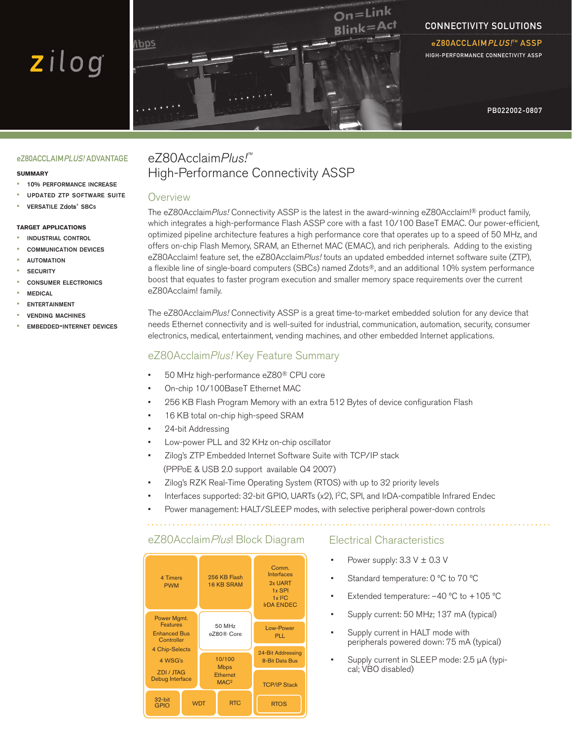# zilog



# Connectivity Solutions

eZ80ACCLAIM*PLUS!*™ A High-performance connectivity assp

PB022002-0807

#### eZ80ACCLAIMPLUS! ADVANTAGE

#### **summary**

- 10% performance increase
- updated ztp software suite
- · VERSATILE Zdots<sup>®</sup> SBCs

#### **target applications**

- industrial control
- communication devices
- **AUTOMATION**
- **SECURITY**
- consumer electronics
- **MEDICAL**
- **FNTFRTAINMENT**
- **VENDING MACHINES**
- embedded-internet devices

# eZ80Acclaim*Plus!™* High-Performance Connectivity ASSP

#### **Overview**

The eZ80Acclaim*Plus!* Connectivity ASSP is the latest in the award-winning eZ80Acclaim!® product family, which integrates a high-performance Flash ASSP core with a fast 10/100 BaseT EMAC. Our power-efficient, optimized pipeline architecture features a high performance core that operates up to a speed of 50 MHz, and offers on-chip Flash Memory, SRAM, an Ethernet MAC (EMAC), and rich peripherals. Adding to the existing eZ80Acclaim! feature set, the eZ80Acclaim*Plus!* touts an updated embedded internet software suite (ZTP), a flexible line of single-board computers (SBCs) named Zdots®, and an additional 10% system performance boost that equates to faster program execution and smaller memory space requirements over the current eZ80Acclaim! family.

The eZ80Acclaim*Plus!* Connectivity ASSP is a great time-to-market embedded solution for any device that needs Ethernet connectivity and is well-suited for industrial, communication, automation, security, consumer electronics, medical, entertainment, vending machines, and other embedded Internet applications.

### eZ80Acclaim*Plus!* Key Feature Summary

- 50 MHz high-performance eZ80® CPU core •
- On-chip 10/100BaseT Ethernet MAC •
- 256 KB Flash Program Memory with an extra 512 Bytes of device configuration Flash •
- 16 KB total on-chip high-speed SRAM •
- 24-bit Addressing •
- Low-power PLL and 32 KHz on-chip oscillator •
- Zilog's ZTP Embedded Internet Software Suite with TCP/IP stack (PPPoE & USB 2.0 support available Q4 2007) •
- Zilog's RZK Real-Time Operating System (RTOS) with up to 32 priority levels •
- Interfaces supported: 32-bit GPIO, UARTs (x2), I2C, SPI, and IrDA-compatible Infrared Endec •
- Power management: HALT/SLEEP modes, with selective peripheral power-down controls •

# eZ80Acclaim Plus! Block Diagram



#### Electrical Characteristics

- Power supply:  $3.3 \text{ V} \pm 0.3 \text{ V}$ •
- Standard temperature: 0 ºC to 70 ºC •
- Extended temperature: –40 ºC to +105 ºC •
- Supply current: 50 MHz; 137 mA (typical) •
- Supply current in HALT mode with peripherals powered down: 75 mA (typical) •
- Supply current in SLEEP mode: 2.5 µA (typical; VBO disabled) •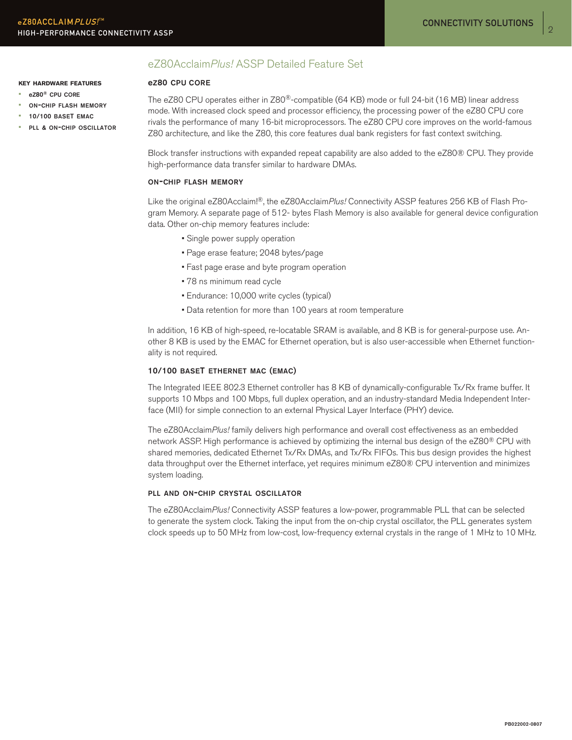# eZ80Acclaim*Plus!* ASSP Detailed Feature Set

#### ez80 cpu core

**key hardware features**

- ez80® cpu core
- on-chip flash memory • 10/100 baseT emac
- pll & on-chip oscillator

The eZ80 CPU operates either in Z80<sup>®</sup>-compatible (64 KB) mode or full 24-bit (16 MB) linear address mode. With increased clock speed and processor efficiency, the processing power of the eZ80 CPU core rivals the performance of many 16-bit microprocessors. The eZ80 CPU core improves on the world-famous Z80 architecture, and like the Z80, this core features dual bank registers for fast context switching.

Block transfer instructions with expanded repeat capability are also added to the eZ80® CPU. They provide high-performance data transfer similar to hardware DMAs.

#### on-chip flash memory

Like the original eZ80Acclaim!®, the eZ80Acclaim*Plus!* Connectivity ASSP features 256 KB of Flash Program Memory. A separate page of 512- bytes Flash Memory is also available for general device configuration data. Other on-chip memory features include:

- Single power supply operation
- Page erase feature; 2048 bytes/page
- Fast page erase and byte program operation
- 78 ns minimum read cycle
- Endurance: 10,000 write cycles (typical)
- Data retention for more than 100 years at room temperature

In addition, 16 KB of high-speed, re-locatable SRAM is available, and 8 KB is for general-purpose use. Another 8 KB is used by the EMAC for Ethernet operation, but is also user-accessible when Ethernet functionality is not required.

#### 10/100 baset ethernet mac (emac)

The Integrated IEEE 802.3 Ethernet controller has 8 KB of dynamically-configurable Tx/Rx frame buffer. It supports 10 Mbps and 100 Mbps, full duplex operation, and an industry-standard Media Independent Interface (MII) for simple connection to an external Physical Layer Interface (PHY) device.

The eZ80Acclaim*Plus!* family delivers high performance and overall cost effectiveness as an embedded network ASSP. High performance is achieved by optimizing the internal bus design of the eZ80® CPU with shared memories, dedicated Ethernet Tx/Rx DMAs, and Tx/Rx FIFOs. This bus design provides the highest data throughput over the Ethernet interface, yet requires minimum eZ80® CPU intervention and minimizes system loading.

#### pll and on-chip crystal oscillator

The eZ80Acclaim*Plus!* Connectivity ASSP features a low-power, programmable PLL that can be selected to generate the system clock. Taking the input from the on-chip crystal oscillator, the PLL generates system clock speeds up to 50 MHz from low-cost, low-frequency external crystals in the range of 1 MHz to 10 MHz.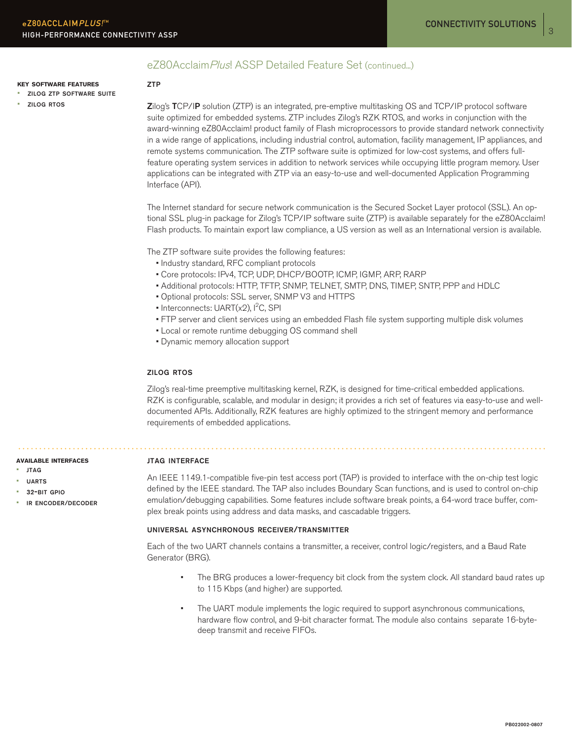## eZ80Acclaim Plus! ASSP Detailed Feature Set (continued...)

#### **key software features**

• zilog ztp software suite

• zilog rtos

#### ztp

Zilog's TCP/IP solution (ZTP) is an integrated, pre-emptive multitasking OS and TCP/IP protocol software suite optimized for embedded systems. ZTP includes Zilog's RZK RTOS, and works in conjunction with the award-winning eZ80Acclaim! product family of Flash microprocessors to provide standard network connectivity in a wide range of applications, including industrial control, automation, facility management, IP appliances, and remote systems communication. The ZTP software suite is optimized for low-cost systems, and offers fullfeature operating system services in addition to network services while occupying little program memory. User applications can be integrated with ZTP via an easy-to-use and well-documented Application Programming Interface (API).

The Internet standard for secure network communication is the Secured Socket Layer protocol (SSL). An optional SSL plug-in package for Zilog's TCP/IP software suite (ZTP) is available separately for the eZ80Acclaim! Flash products. To maintain export law compliance, a US version as well as an International version is available.

The ZTP software suite provides the following features:

- Industry standard, RFC compliant protocols
- Core protocols: IPv4, TCP, UDP, DHCP/BOOTP, ICMP, IGMP, ARP, RARP
- Additional protocols: HTTP, TFTP, SNMP, TELNET, SMTP, DNS, TIMEP, SNTP, PPP and HDLC
- Optional protocols: SSL server, SNMP V3 and HTTPS
- Interconnects: UART(x2),  $l^2C$ , SPI
	- FTP server and client services using an embedded Flash file system supporting multiple disk volumes
	- Local or remote runtime debugging OS command shell
	- Dynamic memory allocation support

#### zilog rtos

Zilog's real-time preemptive multitasking kernel, RZK, is designed for time-critical embedded applications. RZK is configurable, scalable, and modular in design; it provides a rich set of features via easy-to-use and welldocumented APIs. Additionally, RZK features are highly optimized to the stringent memory and performance requirements of embedded applications.

#### **available interfaces**

#### • jtag

- uarts
- 32-bit gpio
- ir encoder/decoder

# jtag interface

An IEEE 1149.1-compatible five-pin test access port (TAP) is provided to interface with the on-chip test logic defined by the IEEE standard. The TAP also includes Boundary Scan functions, and is used to control on-chip emulation/debugging capabilities. Some features include software break points, a 64-word trace buffer, complex break points using address and data masks, and cascadable triggers.

#### universal asynchronous receiver/transmitter

Each of the two UART channels contains a transmitter, a receiver, control logic/registers, and a Baud Rate Generator (BRG).

- The BRG produces a lower-frequency bit clock from the system clock. All standard baud rates up to 115 Kbps (and higher) are supported. •
- The UART module implements the logic required to support asynchronous communications, hardware flow control, and 9-bit character format. The module also contains separate 16-bytedeep transmit and receive FIFOs. •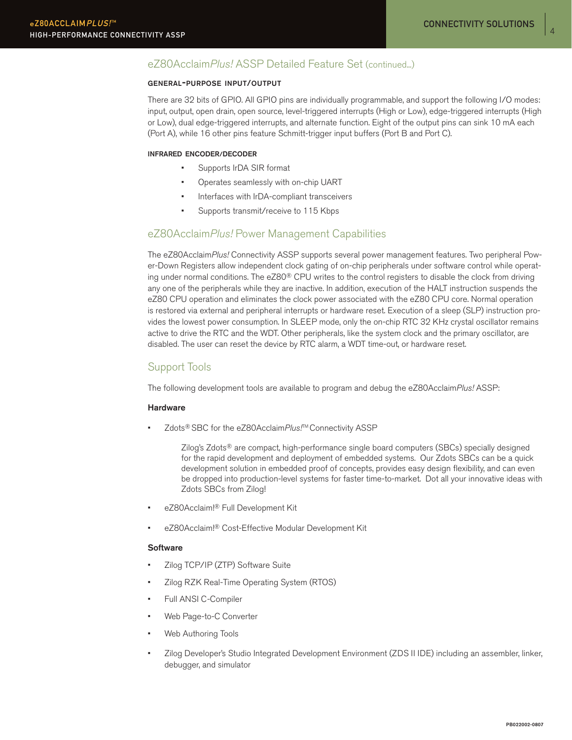$\overline{A}$ 

# eZ80Acclaim*Plus!* ASSP Detailed Feature Set (continued...)

#### general-purpose input/output

There are 32 bits of GPIO. All GPIO pins are individually programmable, and support the following I/O modes: input, output, open drain, open source, level-triggered interrupts (High or Low), edge-triggered interrupts (High or Low), dual edge-triggered interrupts, and alternate function. Eight of the output pins can sink 10 mA each (Port A), while 16 other pins feature Schmitt-trigger input buffers (Port B and Port C).

#### infrared encoder/decoder

- Supports IrDA SIR format •
- Operates seamlessly with on-chip UART •
- Interfaces with IrDA-compliant transceivers •
- Supports transmit/receive to 115 Kbps •

# eZ80Acclaim*Plus!* Power Management Capabilities

The eZ80Acclaim*Plus!* Connectivity ASSP supports several power management features. Two peripheral Power-Down Registers allow independent clock gating of on-chip peripherals under software control while operating under normal conditions. The eZ80® CPU writes to the control registers to disable the clock from driving any one of the peripherals while they are inactive. In addition, execution of the HALT instruction suspends the eZ80 CPU operation and eliminates the clock power associated with the eZ80 CPU core. Normal operation is restored via external and peripheral interrupts or hardware reset. Execution of a sleep (SLP) instruction provides the lowest power consumption. In SLEEP mode, only the on-chip RTC 32 KHz crystal oscillator remains active to drive the RTC and the WDT. Other peripherals, like the system clock and the primary oscillator, are disabled. The user can reset the device by RTC alarm, a WDT time-out, or hardware reset.

# Support Tools

The following development tools are available to program and debug the eZ80Acclaim*Plus!* ASSP:

#### **Hardware**

Zdots<sup>®</sup> SBC for the eZ80Acclaim*Plus!*<sup>™</sup> Connectivity ASSP •

> Zilog's Zdots® are compact, high-performance single board computers (SBCs) specially designed for the rapid development and deployment of embedded systems. Our Zdots SBCs can be a quick development solution in embedded proof of concepts, provides easy design flexibility, and can even be dropped into production-level systems for faster time-to-market. Dot all your innovative ideas with Zdots SBCs from Zilog!

- eZ80Acclaim!® Full Development Kit •
- eZ80Acclaim!® Cost-Effective Modular Development Kit •

#### **Software**

- Zilog TCP/IP (ZTP) Software Suite •
- Zilog RZK Real-Time Operating System (RTOS) •
- Full ANSI C-Compiler •
- Web Page-to-C Converter •
- Web Authoring Tools •
- Zilog Developer's Studio Integrated Development Environment (ZDS II IDE) including an assembler, linker, debugger, and simulator •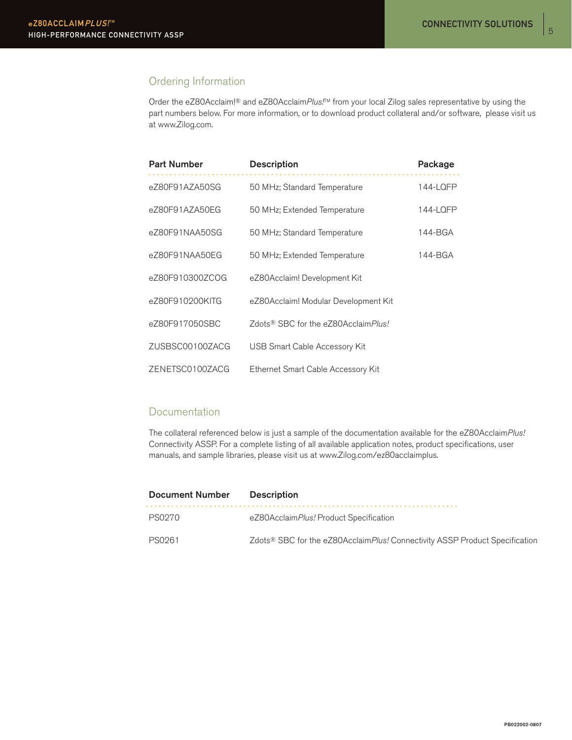# Ordering Information

Order the eZ80Acclaim!® and eZ80Acclaim*Plus!*TM from your local Zilog sales representative by using the part numbers below. For more information, or to download product collateral and/or software, please visit us at www.Zilog.com.

| <b>Part Number</b> | <b>Description</b>                   | Package  |
|--------------------|--------------------------------------|----------|
| eZ80F91AZA50SG     | 50 MHz; Standard Temperature         | 144-LQFP |
| eZ80F91AZA50EG     | 50 MHz; Extended Temperature         | 144-LQFP |
| eZ80F91NAA50SG     | 50 MHz; Standard Temperature         | 144-BGA  |
| eZ80F91NAA50EG     | 50 MHz; Extended Temperature         | 144-BGA  |
| eZ80F910300ZCOG    | eZ80Acclaim! Development Kit         |          |
| eZ80F910200KITG    | eZ80Acclaim! Modular Development Kit |          |
| eZ80F917050SBC     | Zdots® SBC for the eZ80AcclaimPlus!  |          |
| ZUSBSC00100ZACG    | USB Smart Cable Accessory Kit        |          |
| ZENETSC0100ZACG    | Ethernet Smart Cable Accessory Kit   |          |

# Documentation

The collateral referenced below is just a sample of the documentation available for the eZ80Acclaim*Plus!*  Connectivity ASSP. For a complete listing of all available application notes, product specifications, user manuals, and sample libraries, please visit us at www.Zilog.com/ez80acclaimplus.

| <b>Document Number</b> | <b>Description</b>                                                                              |
|------------------------|-------------------------------------------------------------------------------------------------|
| PS0270                 | eZ80AcclaimPlus! Product Specification                                                          |
| PS0261                 | Zdots <sup>®</sup> SBC for the eZ80Acclaim <i>Plus!</i> Connectivity ASSP Product Specification |